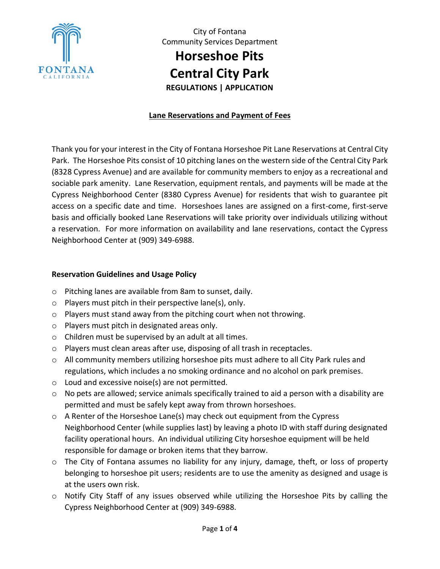

**Horseshoe Pits Central City Park**

**REGULATIONS | APPLICATION**

### **Lane Reservations and Payment of Fees**

Thank you for your interest in the City of Fontana Horseshoe Pit Lane Reservations at Central City Park. The Horseshoe Pits consist of 10 pitching lanes on the western side of the Central City Park (8328 Cypress Avenue) and are available for community members to enjoy as a recreational and sociable park amenity. Lane Reservation, equipment rentals, and payments will be made at the Cypress Neighborhood Center (8380 Cypress Avenue) for residents that wish to guarantee pit access on a specific date and time. Horseshoes lanes are assigned on a first-come, first-serve basis and officially booked Lane Reservations will take priority over individuals utilizing without a reservation. For more information on availability and lane reservations, contact the Cypress Neighborhood Center at (909) 349-6988.

#### **Reservation Guidelines and Usage Policy**

- o Pitching lanes are available from 8am to sunset, daily.
- o Players must pitch in their perspective lane(s), only.
- o Players must stand away from the pitching court when not throwing.
- o Players must pitch in designated areas only.
- o Children must be supervised by an adult at all times.
- o Players must clean areas after use, disposing of all trash in receptacles.
- $\circ$  All community members utilizing horseshoe pits must adhere to all City Park rules and regulations, which includes a no smoking ordinance and no alcohol on park premises.
- o Loud and excessive noise(s) are not permitted.
- o No pets are allowed; service animals specifically trained to aid a person with a disability are permitted and must be safely kept away from thrown horseshoes.
- $\circ$  A Renter of the Horseshoe Lane(s) may check out equipment from the Cypress Neighborhood Center (while supplies last) by leaving a photo ID with staff during designated facility operational hours. An individual utilizing City horseshoe equipment will be held responsible for damage or broken items that they barrow.
- o The City of Fontana assumes no liability for any injury, damage, theft, or loss of property belonging to horseshoe pit users; residents are to use the amenity as designed and usage is at the users own risk.
- o Notify City Staff of any issues observed while utilizing the Horseshoe Pits by calling the Cypress Neighborhood Center at (909) 349-6988.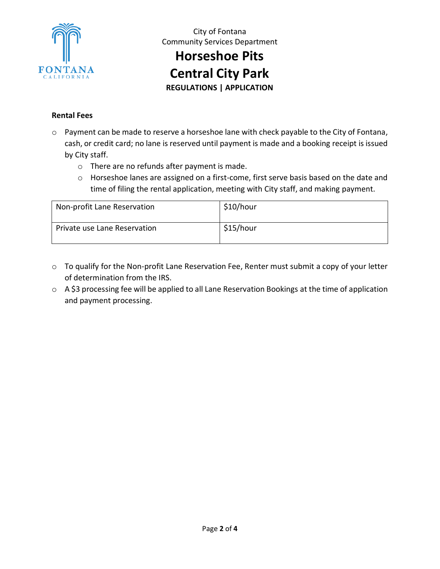

# **Horseshoe Pits**

**Central City Park**

**REGULATIONS | APPLICATION**

### **Rental Fees**

- o Payment can be made to reserve a horseshoe lane with check payable to the City of Fontana, cash, or credit card; no lane is reserved until payment is made and a booking receipt is issued by City staff.
	- o There are no refunds after payment is made.
	- o Horseshoe lanes are assigned on a first-come, first serve basis based on the date and time of filing the rental application, meeting with City staff, and making payment.

| Non-profit Lane Reservation  | \$10/hour |
|------------------------------|-----------|
| Private use Lane Reservation | \$15/hour |

- o To qualify for the Non-profit Lane Reservation Fee, Renter must submit a copy of your letter of determination from the IRS.
- o A \$3 processing fee will be applied to all Lane Reservation Bookings at the time of application and payment processing.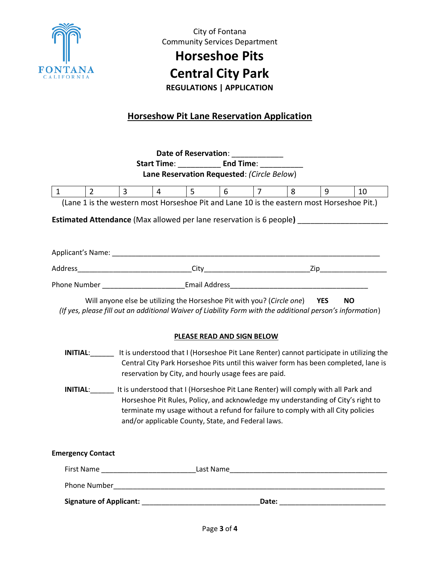

### **Horseshoe Pits**

## **Central City Park**

**REGULATIONS | APPLICATION**

### **Horseshow Pit Lane Reservation Application**

|                                                                                                                                                                                                                                                                                                                                 |             |                                                                                                                                                                                                                                                                                             |                |                | Date of Reservation:                                 |                |                                                                                     |           |    |
|---------------------------------------------------------------------------------------------------------------------------------------------------------------------------------------------------------------------------------------------------------------------------------------------------------------------------------|-------------|---------------------------------------------------------------------------------------------------------------------------------------------------------------------------------------------------------------------------------------------------------------------------------------------|----------------|----------------|------------------------------------------------------|----------------|-------------------------------------------------------------------------------------|-----------|----|
|                                                                                                                                                                                                                                                                                                                                 |             |                                                                                                                                                                                                                                                                                             |                |                | Start Time: End Time:                                |                |                                                                                     |           |    |
| Lane Reservation Requested: (Circle Below)                                                                                                                                                                                                                                                                                      |             |                                                                                                                                                                                                                                                                                             |                |                |                                                      |                |                                                                                     |           |    |
| $\mathbf{1}$                                                                                                                                                                                                                                                                                                                    | $2^{\circ}$ | $\overline{3}$                                                                                                                                                                                                                                                                              | $\overline{4}$ | $5\phantom{.}$ | $6\overline{6}$                                      | $\overline{7}$ | 8                                                                                   | 9         | 10 |
|                                                                                                                                                                                                                                                                                                                                 |             | (Lane 1 is the western most Horseshoe Pit and Lane 10 is the eastern most Horseshoe Pit.)                                                                                                                                                                                                   |                |                |                                                      |                |                                                                                     |           |    |
| <b>Estimated Attendance</b> (Max allowed per lane reservation is 6 people) _________________                                                                                                                                                                                                                                    |             |                                                                                                                                                                                                                                                                                             |                |                |                                                      |                |                                                                                     |           |    |
|                                                                                                                                                                                                                                                                                                                                 |             |                                                                                                                                                                                                                                                                                             |                |                |                                                      |                |                                                                                     |           |    |
|                                                                                                                                                                                                                                                                                                                                 |             |                                                                                                                                                                                                                                                                                             |                |                |                                                      |                |                                                                                     |           |    |
|                                                                                                                                                                                                                                                                                                                                 |             |                                                                                                                                                                                                                                                                                             |                |                |                                                      |                |                                                                                     |           |    |
|                                                                                                                                                                                                                                                                                                                                 |             |                                                                                                                                                                                                                                                                                             |                |                |                                                      |                |                                                                                     |           |    |
|                                                                                                                                                                                                                                                                                                                                 |             | Will anyone else be utilizing the Horseshoe Pit with you? (Circle one) YES<br>(If yes, please fill out an additional Waiver of Liability Form with the additional person's information)<br>INITIAL: It is understood that I (Horseshoe Pit Lane Renter) cannot participate in utilizing the |                |                | PLEASE READ AND SIGN BELOW                           |                | Central City Park Horseshoe Pits until this waiver form has been completed, lane is | <b>NO</b> |    |
|                                                                                                                                                                                                                                                                                                                                 |             |                                                                                                                                                                                                                                                                                             |                |                | reservation by City, and hourly usage fees are paid. |                |                                                                                     |           |    |
| <b>INITIAL:</b> It is understood that I (Horseshoe Pit Lane Renter) will comply with all Park and<br>Horseshoe Pit Rules, Policy, and acknowledge my understanding of City's right to<br>terminate my usage without a refund for failure to comply with all City policies<br>and/or applicable County, State, and Federal laws. |             |                                                                                                                                                                                                                                                                                             |                |                |                                                      |                |                                                                                     |           |    |
| <b>Emergency Contact</b>                                                                                                                                                                                                                                                                                                        |             |                                                                                                                                                                                                                                                                                             |                |                |                                                      |                |                                                                                     |           |    |
|                                                                                                                                                                                                                                                                                                                                 |             |                                                                                                                                                                                                                                                                                             |                |                |                                                      |                |                                                                                     |           |    |
|                                                                                                                                                                                                                                                                                                                                 |             |                                                                                                                                                                                                                                                                                             |                |                |                                                      |                |                                                                                     |           |    |
|                                                                                                                                                                                                                                                                                                                                 |             |                                                                                                                                                                                                                                                                                             |                |                |                                                      |                |                                                                                     |           |    |